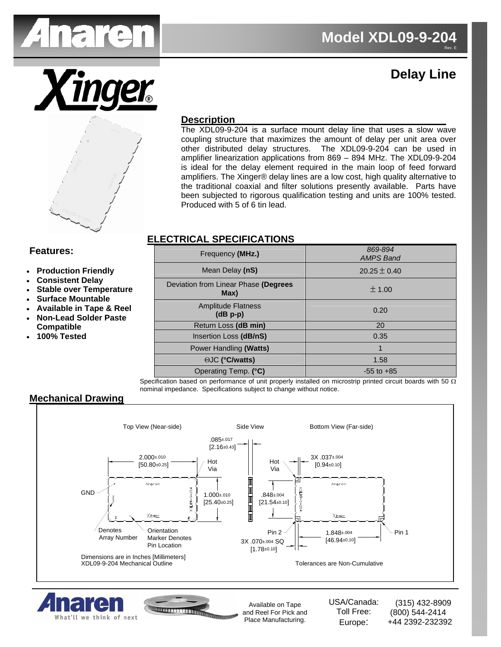

# **Delay Line**



# **Description**

**WITH THE** 

The XDL09-9-204 is a surface mount delay line that uses a slow wave coupling structure that maximizes the amount of delay per unit area over other distributed delay structures. The XDL09-9-204 can be used in The XDL09-9-204 can be used in amplifier linearization applications from 869 – 894 MHz. The XDL09-9-204 is ideal for the delay element required in the main loop of feed forward amplifiers. The Xinger® delay lines are a low cost, high quality alternative to the traditional coaxial and filter solutions presently available. Parts have been subjected to rigorous qualification testing and units are 100% tested. Produced with 5 of 6 tin lead.

# **ELECTRICAL SPECIFICATIONS**

## **Features:**

- **Production Friendly**
- **Consistent Delay**
- **Stable over Temperature**
- **Surface Mountable**
- **Available in Tape & Reel**
- **Non-Lead Solder Paste Compatible**
- **100% Tested**

| Frequency (MHz.)                             | 869-894<br><b>AMPS Band</b> |
|----------------------------------------------|-----------------------------|
| Mean Delay (nS)                              | $20.25 \pm 0.40$            |
| Deviation from Linear Phase (Degrees<br>Max) | ± 1.00                      |
| <b>Amplitude Flatness</b><br>$(dB p-p)$      | 0.20                        |
| Return Loss (dB min)                         | 20                          |
| Insertion Loss (dB/nS)                       | 0.35                        |
| Power Handling (Watts)                       | 1                           |
| ⊙JC (°C/watts)                               | 1.58                        |
| Operating Temp. (°C)                         | $-55$ to $+85$              |

Specification based on performance of unit properly installed on microstrip printed circuit boards with 50  $\Omega$ nominal impedance. Specifications subject to change without notice.

### **Mechanical Drawing**

What'll we think of next



and Reel For Pick and Place Manufacturing.

Toll Free: Europe:

(800) 544-2414 +44 2392-232392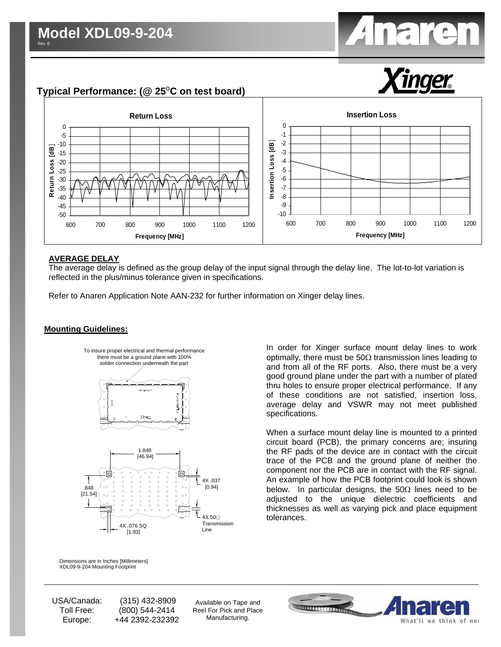



#### **AVERAGE DELAY**

The average delay is defined as the group delay of the input signal through the delay line. The lot-to-lot variation is reflected in the plus/minus tolerance given in specifications.

Refer to Anaren Application Note AAN-232 for further information on Xinger delay lines.

#### **Mounting Guidelines:**



In order for Xinger surface mount delay lines to work optimally, there must be  $50\Omega$  transmission lines leading to and from all of the RF ports. Also, there must be a very good ground plane under the part with a number of plated thru holes to ensure proper electrical performance. If any of these conditions are not satisfied, insertion loss, average delay and VSWR may not meet published specifications.

When a surface mount delay line is mounted to a printed circuit board (PCB), the primary concerns are; insuring the RF pads of the device are in contact with the circuit trace of the PCB and the ground plane of neither the component nor the PCB are in contact with the RF signal. An example of how the PCB footprint could look is shown below. In particular designs, the 50 $\Omega$  lines need to be adjusted to the unique dielectric coefficients and thicknesses as well as varying pick and place equipment tolerances.

XDL09-9-204 Mounting Footprint Dimensions are in Inches [Millimeters]

USA/Canada: Toll Free: Europe:

 (315) 432-8909 (800) 544-2414 +44 2392-232392

Available on Tape and Reel For Pick and Place Manufacturing.